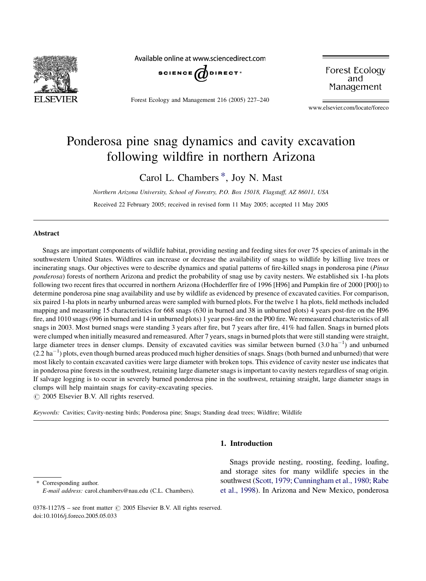

Available online at www.sciencedirect.com



Forest Ecology and Management 216 (2005) 227–240

Forest Ecology and Management

www.elsevier.com/locate/foreco

# Ponderosa pine snag dynamics and cavity excavation following wildfire in northern Arizona

Carol L. Chambers \*, Joy N. Mast

Northern Arizona University, School of Forestry, P.O. Box 15018, Flagstaff, AZ 86011, USA

Received 22 February 2005; received in revised form 11 May 2005; accepted 11 May 2005

#### Abstract

Snags are important components of wildlife habitat, providing nesting and feeding sites for over 75 species of animals in the southwestern United States. Wildfires can increase or decrease the availability of snags to wildlife by killing live trees or incinerating snags. Our objectives were to describe dynamics and spatial patterns of fire-killed snags in ponderosa pine (Pinus ponderosa) forests of northern Arizona and predict the probability of snag use by cavity nesters. We established six 1-ha plots following two recent fires that occurred in northern Arizona (Hochderffer fire of 1996 [H96] and Pumpkin fire of 2000 [P00]) to determine ponderosa pine snag availability and use by wildlife as evidenced by presence of excavated cavities. For comparison, six paired 1-ha plots in nearby unburned areas were sampled with burned plots. For the twelve 1 ha plots, field methods included mapping and measuring 15 characteristics for 668 snags (630 in burned and 38 in unburned plots) 4 years post-fire on the H96 fire, and 1010 snags (996 in burned and 14 in unburned plots) 1 year post-fire on the P00 fire. We remeasured characteristics of all snags in 2003. Most burned snags were standing 3 years after fire, but 7 years after fire, 41% had fallen. Snags in burned plots were clumped when initially measured and remeasured. After 7 years, snags in burned plots that were still standing were straight, large diameter trees in denser clumps. Density of excavated cavities was similar between burned  $(3.0 \text{ ha}^{-1})$  and unburned  $(2.2 \text{ ha}^{-1})$  plots, even though burned areas produced much higher densities of snags. Snags (both burned and unburned) that were most likely to contain excavated cavities were large diameter with broken tops. This evidence of cavity nester use indicates that in ponderosa pine forests in the southwest, retaining large diameter snags is important to cavity nesters regardless of snag origin. If salvage logging is to occur in severely burned ponderosa pine in the southwest, retaining straight, large diameter snags in clumps will help maintain snags for cavity-excavating species.  $\odot$  2005 Elsevier B.V. All rights reserved.

Keywords: Cavities; Cavity-nesting birds; Ponderosa pine; Snags; Standing dead trees; Wildfire; Wildlife

#### 1. Introduction

Corresponding author. E-mail address: carol.chambers@nau.edu (C.L. Chambers).

Snags provide nesting, roosting, feeding, loafing, and storage sites for many wildlife species in the southwest [\(Scott, 1979; Cunningham et al., 1980; Rabe](#page-12-0) [et al., 1998\)](#page-12-0). In Arizona and New Mexico, ponderosa

<sup>0378-1127/\$ –</sup> see front matter © 2005 Elsevier B.V. All rights reserved. doi:10.1016/j.foreco.2005.05.033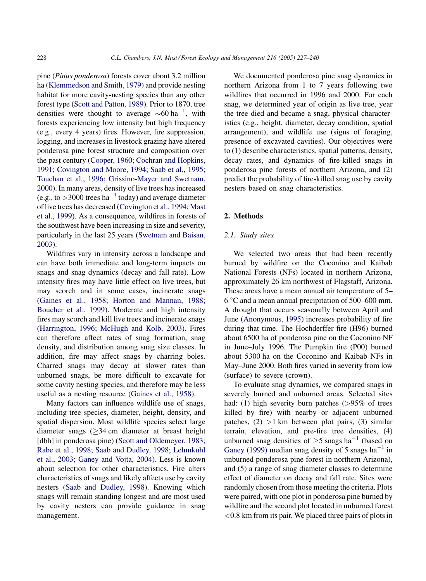pine (Pinus ponderosa) forests cover about 3.2 million ha [\(Klemmedson and Smith, 1979\)](#page-12-0) and provide nesting habitat for more cavity-nesting species than any other forest type ([Scott and Patton, 1989](#page-13-0)). Prior to 1870, tree densities were thought to average  $\sim 60 \text{ ha}^{-1}$ , with forests experiencing low intensity but high frequency (e.g., every 4 years) fires. However, fire suppression, logging, and increases in livestock grazing have altered ponderosa pine forest structure and composition over the past century ([Cooper, 1960; Cochran and Hopkins,](#page-11-0) [1991; Covington and Moore, 1994; Saab et al., 1995;](#page-11-0) [Touchan et al., 1996; Grissino-Mayer and Swetnam,](#page-11-0) [2000](#page-11-0)). In many areas, density of live trees has increased (e.g., to  $>3000$  trees ha<sup>-1</sup> today) and average diameter of live trees has decreased ([Covington et al., 1994; Mast](#page-11-0) [et al., 1999](#page-11-0)). As a consequence, wildfires in forests of the southwest have been increasing in size and severity, particularly in the last 25 years ([Swetnam and Baisan,](#page-13-0) [2003](#page-13-0)).

Wildfires vary in intensity across a landscape and can have both immediate and long-term impacts on snags and snag dynamics (decay and fall rate). Low intensity fires may have little effect on live trees, but may scorch and in some cases, incinerate snags ([Gaines et al., 1958; Horton and Mannan, 1988;](#page-12-0) [Boucher et al., 1999](#page-12-0)). Moderate and high intensity fires may scorch and kill live trees and incinerate snags ([Harrington, 1996; McHugh and Kolb, 2003\)](#page-12-0). Fires can therefore affect rates of snag formation, snag density, and distribution among snag size classes. In addition, fire may affect snags by charring boles. Charred snags may decay at slower rates than unburned snags, be more difficult to excavate for some cavity nesting species, and therefore may be less useful as a nesting resource [\(Gaines et al., 1958\)](#page-12-0).

Many factors can influence wildlife use of snags, including tree species, diameter, height, density, and spatial dispersion. Most wildlife species select large diameter snags  $($ >34 cm diameter at breast height [dbh] in ponderosa pine) [\(Scott and Oldemeyer, 1983;](#page-12-0) [Rabe et al., 1998; Saab and Dudley, 1998; Lehmkuhl](#page-12-0) [et al., 2003; Ganey and Vojta, 2004\)](#page-12-0). Less is known about selection for other characteristics. Fire alters characteristics of snags and likely affects use by cavity nesters ([Saab and Dudley, 1998\)](#page-12-0). Knowing which snags will remain standing longest and are most used by cavity nesters can provide guidance in snag management.

We documented ponderosa pine snag dynamics in northern Arizona from 1 to 7 years following two wildfires that occurred in 1996 and 2000. For each snag, we determined year of origin as live tree, year the tree died and became a snag, physical characteristics (e.g., height, diameter, decay condition, spatial arrangement), and wildlife use (signs of foraging, presence of excavated cavities). Our objectives were to (1) describe characteristics, spatial patterns, density, decay rates, and dynamics of fire-killed snags in ponderosa pine forests of northern Arizona, and (2) predict the probability of fire-killed snag use by cavity nesters based on snag characteristics.

## 2. Methods

## 2.1. Study sites

We selected two areas that had been recently burned by wildfire on the Coconino and Kaibab National Forests (NFs) located in northern Arizona, approximately 26 km northwest of Flagstaff, Arizona. These areas have a mean annual air temperature of 5–  $6^{\circ}$ C and a mean annual precipitation of 500–600 mm. A drought that occurs seasonally between April and June ([Anonymous, 1995\)](#page-11-0) increases probability of fire during that time. The Hochderffer fire (H96) burned about 6500 ha of ponderosa pine on the Coconino NF in June–July 1996. The Pumpkin fire (P00) burned about 5300 ha on the Coconino and Kaibab NFs in May–June 2000. Both fires varied in severity from low (surface) to severe (crown).

To evaluate snag dynamics, we compared snags in severely burned and unburned areas. Selected sites had: (1) high severity burn patches  $(>\!\!95\%$  of trees killed by fire) with nearby or adjacent unburned patches,  $(2)$  >1 km between plot pairs,  $(3)$  similar terrain, elevation, and pre-fire tree densities, (4) unburned snag densities of  $>5$  snags ha<sup>-1</sup> (based on [Ganey \(1999\)](#page-12-0) median snag density of 5 snags  $ha^{-1}$  in unburned ponderosa pine forest in northern Arizona), and (5) a range of snag diameter classes to determine effect of diameter on decay and fall rate. Sites were randomly chosen from those meeting the criteria. Plots were paired, with one plot in ponderosa pine burned by wildfire and the second plot located in unburned forest <0.8 km from its pair. We placed three pairs of plots in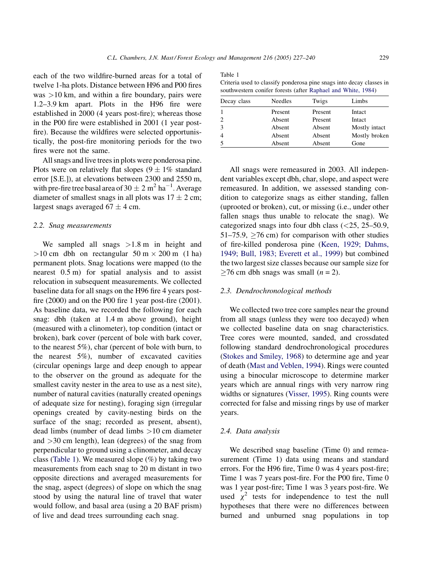each of the two wildfire-burned areas for a total of twelve 1-ha plots. Distance between H96 and P00 fires was  $>10$  km, and within a fire boundary, pairs were 1.2–3.9 km apart. Plots in the H96 fire were established in 2000 (4 years post-fire); whereas those in the P00 fire were established in 2001 (1 year postfire). Because the wildfires were selected opportunistically, the post-fire monitoring periods for the two fires were not the same.

All snags and live trees in plots were ponderosa pine. Plots were on relatively flat slopes  $(9 \pm 1\%$  standard error [S.E.]), at elevations between 2300 and 2550 m, with pre-fire tree basal area of  $30 \pm 2$  m<sup>2</sup> ha<sup>-1</sup>. Average diameter of smallest snags in all plots was  $17 \pm 2$  cm; largest snags averaged  $67 \pm 4$  cm.

#### 2.2. Snag measurements

We sampled all snags  $>1.8$  m in height and  $>10$  cm dbh on rectangular 50 m  $\times$  200 m (1 ha) permanent plots. Snag locations were mapped (to the nearest 0.5 m) for spatial analysis and to assist relocation in subsequent measurements. We collected baseline data for all snags on the H96 fire 4 years postfire (2000) and on the P00 fire 1 year post-fire (2001). As baseline data, we recorded the following for each snag: dbh (taken at 1.4 m above ground), height (measured with a clinometer), top condition (intact or broken), bark cover (percent of bole with bark cover, to the nearest 5%), char (percent of bole with burn, to the nearest 5%), number of excavated cavities (circular openings large and deep enough to appear to the observer on the ground as adequate for the smallest cavity nester in the area to use as a nest site), number of natural cavities (naturally created openings of adequate size for nesting), foraging sign (irregular openings created by cavity-nesting birds on the surface of the snag; recorded as present, absent), dead limbs (number of dead limbs >10 cm diameter and >30 cm length), lean (degrees) of the snag from perpendicular to ground using a clinometer, and decay class (Table 1). We measured slope (%) by taking two measurements from each snag to 20 m distant in two opposite directions and averaged measurements for the snag, aspect (degrees) of slope on which the snag stood by using the natural line of travel that water would follow, and basal area (using a 20 BAF prism) of live and dead trees surrounding each snag.

| Table 1                                                              |
|----------------------------------------------------------------------|
| Criteria used to classify ponderosa pine snags into decay classes in |
| southwestern conifer forests (after Raphael and White, 1984)         |

| Decay class | Needles | Twigs   | Limbs         |
|-------------|---------|---------|---------------|
|             | Present | Present | Intact        |
| 2           | Absent  | Present | Intact        |
| 3           | Absent  | Absent  | Mostly intact |
| 4           | Absent  | Absent  | Mostly broken |
| 5           | Absent  | Absent  | Gone          |
|             |         |         |               |

All snags were remeasured in 2003. All independent variables except dbh, char, slope, and aspect were remeasured. In addition, we assessed standing condition to categorize snags as either standing, fallen (uprooted or broken), cut, or missing (i.e., under other fallen snags thus unable to relocate the snag). We categorized snags into four dbh class  $\left( \langle 25, 25, 25, 29 \rangle \right)$ 51–75.9,  $\geq$ 76 cm) for comparison with other studies of fire-killed ponderosa pine [\(Keen, 1929; Dahms,](#page-12-0) [1949; Bull, 1983; Everett et al., 1999\)](#page-12-0) but combined the two largest size classes because our sample size for  $>76$  cm dbh snags was small  $(n = 2)$ .

#### 2.3. Dendrochronological methods

We collected two tree core samples near the ground from all snags (unless they were too decayed) when we collected baseline data on snag characteristics. Tree cores were mounted, sanded, and crossdated following standard dendrochronological procedures ([Stokes and Smiley, 1968](#page-13-0)) to determine age and year of death [\(Mast and Veblen, 1994](#page-12-0)). Rings were counted using a binocular microscope to determine marker years which are annual rings with very narrow ring widths or signatures [\(Visser, 1995](#page-13-0)). Ring counts were corrected for false and missing rings by use of marker years.

#### 2.4. Data analysis

We described snag baseline (Time 0) and remeasurement (Time 1) data using means and standard errors. For the H96 fire, Time 0 was 4 years post-fire; Time 1 was 7 years post-fire. For the P00 fire, Time 0 was 1 year post-fire; Time 1 was 3 years post-fire. We used  $\chi^2$  tests for independence to test the null hypotheses that there were no differences between burned and unburned snag populations in top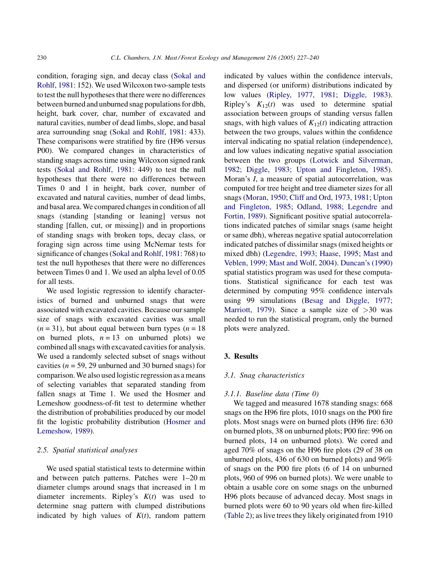condition, foraging sign, and decay class [\(Sokal and](#page-13-0) [Rohlf, 1981](#page-13-0): 152). We used Wilcoxon two-sample tests to test the null hypotheses that there were no differences between burned and unburned snag populations for dbh, height, bark cover, char, number of excavated and natural cavities, number of dead limbs, slope, and basal area surrounding snag ([Sokal and Rohlf, 1981:](#page-13-0) 433). These comparisons were stratified by fire (H96 versus P00). We compared changes in characteristics of standing snags across time using Wilcoxon signed rank tests [\(Sokal and Rohlf, 1981:](#page-13-0) 449) to test the null hypotheses that there were no differences between Times 0 and 1 in height, bark cover, number of excavated and natural cavities, number of dead limbs, and basal area.We compared changes in condition of all snags (standing [standing or leaning] versus not standing [fallen, cut, or missing]) and in proportions of standing snags with broken tops, decay class, or foraging sign across time using McNemar tests for significance of changes [\(Sokal and Rohlf, 1981](#page-13-0): 768) to test the null hypotheses that there were no differences between Times 0 and 1. We used an alpha level of 0.05 for all tests.

We used logistic regression to identify characteristics of burned and unburned snags that were associated with excavated cavities. Because our sample size of snags with excavated cavities was small  $(n = 31)$ , but about equal between burn types  $(n = 18)$ on burned plots,  $n = 13$  on unburned plots) we combined all snags with excavated cavities for analysis. We used a randomly selected subset of snags without cavities ( $n = 59$ , 29 unburned and 30 burned snags) for comparison.We also used logistic regression as a means of selecting variables that separated standing from fallen snags at Time 1. We used the Hosmer and Lemeshow goodness-of-fit test to determine whether the distribution of probabilities produced by our model fit the logistic probability distribution [\(Hosmer and](#page-12-0) [Lemeshow, 1989](#page-12-0)).

#### 2.5. Spatial statistical analyses

We used spatial statistical tests to determine within and between patch patterns. Patches were 1–20 m diameter clumps around snags that increased in 1 m diameter increments. Ripley's  $K(t)$  was used to determine snag pattern with clumped distributions indicated by high values of  $K(t)$ , random pattern indicated by values within the confidence intervals, and dispersed (or uniform) distributions indicated by low values [\(Ripley, 1977, 1981; Diggle, 1983\)](#page-12-0). Ripley's  $K_{12}(t)$  was used to determine spatial association between groups of standing versus fallen snags, with high values of  $K_{12}(t)$  indicating attraction between the two groups, values within the confidence interval indicating no spatial relation (independence), and low values indicating negative spatial association between the two groups [\(Lotwick and Silverman,](#page-12-0) [1982; Diggle, 1983; Upton and Fingleton, 1985\)](#page-12-0). Moran's I, a measure of spatial autocorrelation, was computed for tree height and tree diameter sizes for all snags [\(Moran, 1950; Cliff and Ord, 1973, 1981; Upton](#page-12-0) [and Fingleton, 1985; Odland, 1988; Legendre and](#page-12-0) [Fortin, 1989\)](#page-12-0). Significant positive spatial autocorrelations indicated patches of similar snags (same height or same dbh), whereas negative spatial autocorrelation indicated patches of dissimilar snags (mixed heights or mixed dbh) [\(Legendre, 1993; Haase, 1995; Mast and](#page-12-0) [Veblen, 1999; Mast and Wolf, 2004](#page-12-0)). [Duncan's \(1990\)](#page-12-0) spatial statistics program was used for these computations. Statistical significance for each test was determined by computing 95% confidence intervals using 99 simulations ([Besag and Diggle, 1977;](#page-11-0) [Marriott, 1979\)](#page-11-0). Since a sample size of  $>30$  was needed to run the statistical program, only the burned plots were analyzed.

## 3. Results

#### 3.1. Snag characteristics

## 3.1.1. Baseline data (Time 0)

We tagged and measured 1678 standing snags: 668 snags on the H96 fire plots, 1010 snags on the P00 fire plots. Most snags were on burned plots (H96 fire: 630 on burned plots, 38 on unburned plots; P00 fire: 996 on burned plots, 14 on unburned plots). We cored and aged 70% of snags on the H96 fire plots (29 of 38 on unburned plots, 436 of 630 on burned plots) and 96% of snags on the P00 fire plots (6 of 14 on unburned plots, 960 of 996 on burned plots). We were unable to obtain a usable core on some snags on the unburned H96 plots because of advanced decay. Most snags in burned plots were 60 to 90 years old when fire-killed ([Table 2\)](#page-4-0); as live trees they likely originated from 1910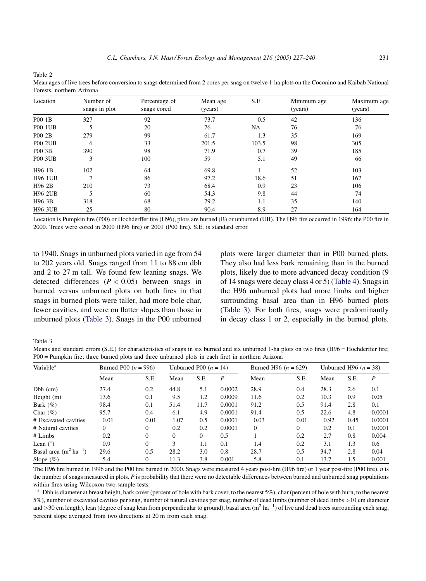<span id="page-4-0"></span>Table 2

Mean ages of live trees before conversion to snags determined from 2 cores per snag on twelve 1-ha plots on the Coconino and Kaibab National Forests, northern Arizona

| Location           | Number of<br>snags in plot | Percentage of<br>snags cored | Mean age<br>(years) | S.E.  | Minimum age<br>(years) | Maximum age<br>(years) |
|--------------------|----------------------------|------------------------------|---------------------|-------|------------------------|------------------------|
| P00 1B             | 327                        | 92                           | 73.7                | 0.5   | 42                     | 136                    |
| <b>P00 1UB</b>     |                            | 20                           | 76                  | NA    | 76                     | 76                     |
| P00 2B             | 279                        | 99                           | 61.7                | 1.3   | 35                     | 169                    |
| <b>P00 2UB</b>     | 6                          | 33                           | 201.5               | 103.5 | 98                     | 305                    |
| P00 3B             | 390                        | 98                           | 71.9                | 0.7   | 39                     | 185                    |
| <b>P00 3UB</b>     | 3                          | 100                          | 59                  | 5.1   | 49                     | 66                     |
| H96 1B             | 102                        | 64                           | 69.8                |       | 52                     | 103                    |
| <b>H96 1UB</b>     | 7                          | 86                           | 97.2                | 18.6  | 51                     | 167                    |
| H96 2B             | 210                        | 73                           | 68.4                | 0.9   | 23                     | 106                    |
| <b>H96 2UB</b>     | 5                          | 60                           | 54.3                | 9.8   | 44                     | 74                     |
| H <sub>96</sub> 3B | 318                        | 68                           | 79.2                | 1.1   | 35                     | 140                    |
| <b>H96 3UB</b>     | 25                         | 80                           | 90.4                | 8.9   | 27                     | 164                    |

Location is Pumpkin fire (P00) or Hochderffer fire (H96), plots are burned (B) or unburned (UB). The H96 fire occurred in 1996; the P00 fire in 2000. Trees were cored in 2000 (H96 fire) or 2001 (P00 fire). S.E. is standard error.

to 1940. Snags in unburned plots varied in age from 54 to 202 years old. Snags ranged from 11 to 88 cm dbh and 2 to 27 m tall. We found few leaning snags. We detected differences  $(P < 0.05)$  between snags in burned versus unburned plots on both fires in that snags in burned plots were taller, had more bole char, fewer cavities, and were on flatter slopes than those in unburned plots (Table 3). Snags in the P00 unburned

plots were larger diameter than in P00 burned plots. They also had less bark remaining than in the burned plots, likely due to more advanced decay condition (9 of 14 snags were decay class 4 or 5) ([Table 4\)](#page-5-0). Snags in the H96 unburned plots had more limbs and higher surrounding basal area than in H96 burned plots (Table 3). For both fires, snags were predominantly in decay class 1 or 2, especially in the burned plots.

Table 3

Means and standard errors (S.E.) for characteristics of snags in six burned and six unburned 1-ha plots on two fires (H96 = Hochderffer fire; P00 = Pumpkin fire; three burned plots and three unburned plots in each fire) in northern Arizona

| Variable <sup>a</sup>              | Burned P00 ( $n = 996$ ) | Unburned P00 $(n = 14)$ |              |          | Burned H96 ( $n = 629$ ) |          | Unburned H96 $(n = 38)$ |      |      |                  |
|------------------------------------|--------------------------|-------------------------|--------------|----------|--------------------------|----------|-------------------------|------|------|------------------|
|                                    | Mean                     | S.E.                    | Mean         | S.E.     | $\boldsymbol{P}$         | Mean     | S.E.                    | Mean | S.E. | $\boldsymbol{P}$ |
| $Dbh$ (cm)                         | 27.4                     | 0.2                     | 44.8         | 5.1      | 0.0002                   | 28.9     | 0.4                     | 28.3 | 2.6  | 0.1              |
| Height $(m)$                       | 13.6                     | 0.1                     | 9.5          | 1.2      | 0.0009                   | 11.6     | 0.2                     | 10.3 | 0.9  | 0.05             |
| Bark $(\%)$                        | 98.4                     | 0.1                     | 51.4         | 11.7     | 0.0001                   | 91.2     | 0.5                     | 91.4 | 2.8  | 0.1              |
| Char $(\% )$                       | 95.7                     | 0.4                     | 6.1          | 4.9      | 0.0001                   | 91.4     | 0.5                     | 22.6 | 4.8  | 0.0001           |
| # Excavated cavities               | 0.01                     | 0.01                    | 1.07         | 0.5      | 0.0001                   | 0.03     | 0.01                    | 0.92 | 0.45 | 0.0001           |
| # Natural cavities                 | $\Omega$                 | $\Omega$                | 0.2          | 0.2      | 0.0001                   | $\theta$ | $\Omega$                | 0.2  | 0.1  | 0.0001           |
| # Limbs                            | 0.2                      | $\Omega$                | $\Omega$     | $\Omega$ | 0.5                      |          | 0.2                     | 2.7  | 0.8  | 0.004            |
| Lean $(°)$                         | 0.9                      | $\Omega$                | $\mathbf{3}$ | 1.1      | 0.1                      | 1.4      | 0.2                     | 3.1  | 1.3  | 0.6              |
| Basal area $(m^2 \text{ ha}^{-1})$ | 29.6                     | 0.5                     | 28.2         | 3.0      | 0.8                      | 28.7     | 0.5                     | 34.7 | 2.8  | 0.04             |
| Slope $(\%)$                       | 5.4                      | $\Omega$                | 11.3         | 3.8      | 0.001                    | 5.8      | 0.1                     | 13.7 | 1.5  | 0.001            |

The H96 fire burned in 1996 and the P00 fire burned in 2000. Snags were measured 4 years post-fire (H96 fire) or 1 year post-fire (P00 fire). n is the number of snags measured in plots.  $P$  is probability that there were no detectable differences between burned and unburned snag populations within fires using Wilcoxon two-sample tests.

<sup>a</sup> Dbh is diameter at breast height, bark cover (percent of bole with bark cover, to the nearest 5%), char (percent of bole with burn, to the nearest 5%), number of excavated cavities per snag, number of natural cavities per snag, number of dead limbs (number of dead limbs >10 cm diameter and >30 cm length), lean (degree of snag lean from perpendicular to ground), basal area ( $m^2$  ha<sup>-1</sup>) of live and dead trees surrounding each snag, percent slope averaged from two directions at 20 m from each snag.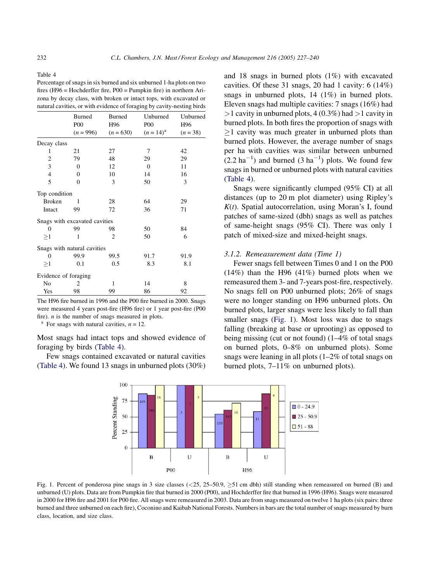<span id="page-5-0"></span>Table 4 Percentage of snags in six burned and six unburned 1-ha plots on two fires (H96 = Hochderffer fire, P00 = Pumpkin fire) in northern Arizona by decay class, with broken or intact tops, with excavated or natural cavities, or with evidence of foraging by cavity-nesting birds

|                      | <b>Burned</b><br>P <sub>00</sub> | Burned<br>H96  | Unburned<br>P <sub>0</sub> 0 | Unburned<br>H96 |
|----------------------|----------------------------------|----------------|------------------------------|-----------------|
|                      | $(n = 996)$                      | $(n = 630)$    | $(n = 14)^{a}$               | $(n = 38)$      |
| Decay class          |                                  |                |                              |                 |
| 1                    | 21                               | 27             | 7                            | 42              |
| 2                    | 79                               | 48             | 29                           | 29              |
| 3                    | $\theta$                         | 12             | $\Omega$                     | 11              |
| $\overline{4}$       | $\Omega$                         | 10             | 14                           | 16              |
| 5                    | $\theta$                         | 3              | 50                           | 3               |
| Top condition        |                                  |                |                              |                 |
| <b>Broken</b>        | 1                                | 28             | 64                           | 29              |
| Intact               | 99                               | 72             | 36                           | 71              |
|                      | Snags with excavated cavities    |                |                              |                 |
| 0                    | 99                               | 98             | 50                           | 84              |
| >1                   | 1                                | $\overline{c}$ | 50                           | 6               |
|                      | Snags with natural cavities      |                |                              |                 |
| 0                    | 99.9                             | 99.5           | 91.7                         | 91.9            |
| $\geq1$              | 0.1                              | 0.5            | 8.3                          | 8.1             |
| Evidence of foraging |                                  |                |                              |                 |
| No                   | $\overline{c}$                   | 1              | 14                           | 8               |
| Yes                  | 98                               | 99             | 86                           | 92              |

The H96 fire burned in 1996 and the P00 fire burned in 2000. Snags were measured 4 years post-fire (H96 fire) or 1 year post-fire (P00 fire). *n* is the number of snags measured in plots.<br><sup>a</sup> For snags with natural cavities,  $n = 12$ .

Most snags had intact tops and showed evidence of foraging by birds (Table 4).

Few snags contained excavated or natural cavities (Table 4). We found 13 snags in unburned plots (30%) and 18 snags in burned plots (1%) with excavated cavities. Of these 31 snags, 20 had 1 cavity: 6 (14%) snags in unburned plots, 14 (1%) in burned plots. Eleven snags had multiple cavities: 7 snags (16%) had  $>1$  cavity in unburned plots, 4 (0.3%) had  $>1$  cavity in burned plots. In both fires the proportion of snags with  $\geq$ 1 cavity was much greater in unburned plots than burned plots. However, the average number of snags per ha with cavities was similar between unburned  $(2.2 \text{ ha}^{-1})$  and burned  $(3 \text{ ha}^{-1})$  plots. We found few snags in burned or unburned plots with natural cavities (Table 4).

Snags were significantly clumped (95% CI) at all distances (up to 20 m plot diameter) using Ripley's  $K(t)$ . Spatial autocorrelation, using Moran's I, found patches of same-sized (dbh) snags as well as patches of same-height snags (95% CI). There was only 1 patch of mixed-size and mixed-height snags.

### 3.1.2. Remeasurement data (Time 1)

Fewer snags fell between Times 0 and 1 on the P00  $(14%)$  than the H96  $(41%)$  burned plots when we remeasured them 3- and 7-years post-fire, respectively. No snags fell on P00 unburned plots; 26% of snags were no longer standing on H96 unburned plots. On burned plots, larger snags were less likely to fall than smaller snags (Fig. 1). Most loss was due to snags falling (breaking at base or uprooting) as opposed to being missing (cut or not found) (1–4% of total snags on burned plots, 0–8% on unburned plots). Some snags were leaning in all plots (1–2% of total snags on burned plots, 7–11% on unburned plots).



Fig. 1. Percent of ponderosa pine snags in 3 size classes (<25, 25–50.9, >51 cm dbh) still standing when remeasured on burned (B) and unburned (U) plots. Data are from Pumpkin fire that burned in 2000 (P00), and Hochderffer fire that burned in 1996 (H96). Snags were measured in 2000 for H96 fire and 2001 for P00 fire. All snags were remeasured in 2003. Data are from snags measured on twelve 1 ha plots (six pairs: three burned and three unburned on each fire), Coconino and Kaibab National Forests. Numbers in bars are the total number of snags measured by burn class, location, and size class.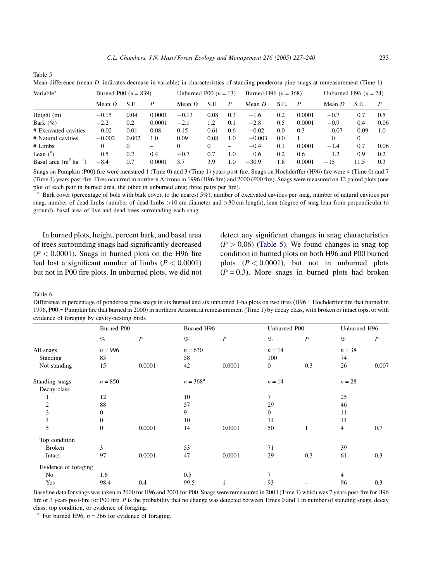| ٧ | I<br>$\sim$ | - 3<br>٠ |
|---|-------------|----------|

| $m$ can unicience (mean $D$ , muicates decrease in variable) in characteristics or standing ponderosa pine snags at remeasurement (Thire T) |                        |       |        |                         |      |                          |                          |      |                  |                         |          |      |
|---------------------------------------------------------------------------------------------------------------------------------------------|------------------------|-------|--------|-------------------------|------|--------------------------|--------------------------|------|------------------|-------------------------|----------|------|
| Variable <sup>a</sup>                                                                                                                       | Burned P00 $(n = 839)$ |       |        | Unburned P00 $(n = 13)$ |      |                          | Burned H96 ( $n = 368$ ) |      |                  | Unburned H96 $(n = 24)$ |          |      |
|                                                                                                                                             | Mean $D$               | S.E.  | P      | Mean $D$                | S.E. | P                        | Mean $D$                 | S.E. | $\boldsymbol{P}$ | Mean $D$                | S.E.     | P    |
| Height $(m)$                                                                                                                                | $-0.15$                | 0.04  | 0.0001 | $-0.13$                 | 0.08 | 0.3                      | $-1.6$                   | 0.2  | 0.0001           | $-0.7$                  | 0.7      | 0.5  |
| Bark $(\%)$                                                                                                                                 | $-2.2$                 | 0.2   | 0.0001 | $-2.1$                  | 1.2  | 0.1                      | $-2.8$                   | 0.5  | 0.0001           | $-0.9$                  | 0.4      | 0.06 |
| # Excavated cavities                                                                                                                        | 0.02                   | 0.01  | 0.08   | 0.15                    | 0.61 | $0.6^{\circ}$            | $-0.02$                  | 0.0  | 0.3              | 0.07                    | 0.09     | 1.0  |
| # Natural cavities                                                                                                                          | $-0.002$               | 0.002 | 1.0    | 0.09                    | 0.08 | 1.0                      | $-0.003$                 | 0.0  |                  | 0                       | $\Omega$ |      |
| # Limbs                                                                                                                                     | 0                      | 0     |        | 0                       | 0    | $\overline{\phantom{0}}$ | $-0.4$                   | 0.1  | 0.0001           | $-1.4$                  | 0.7      | 0.06 |
| Lean $(^\circ)$                                                                                                                             | 0.5                    | 0.2   | 0.4    | $-0.7$                  | 0.7  | 1.0                      | 0.6                      | 0.2  | 0.6              | 1.2                     | 0.9      | 0.2  |
| Basal area $(m^2 ha^{-1})$                                                                                                                  | $-8.4$                 | 0.7   | 0.0001 | 3.7                     | 3.9  | 1.0                      | $-30.9$                  | 1.8  | 0.0001           | $-15$                   | 11.5     | 0.3  |

Mean difference (mean D; indicates decrease in variable) in characteristics of standing ponderosa pine snags at remeasurement (Time 1)

Snags on Pumpkin (P00) fire were measured 1 (Time 0) and 3 (Time 1) years post-fire. Snags on Hochderffer (H96) fire were 4 (Time 0) and 7 (Time 1) years post-fire. Fires occurred in northern Arizona in 1996 (H96 fire) and 2000 (P00 fire). Snags were measured on 12 paired plots (one plot of each pair in burned area, the other in unburned area; three pairs per fire).

<sup>a</sup> Bark cover (percentage of bole with bark cover, to the nearest 5%), number of excavated cavities per snag, number of natural cavities per snag, number of dead limbs (number of dead limbs  $>10$  cm diameter and  $>30$  cm length), lean (degree of snag lean from perpendicular to ground), basal area of live and dead trees surrounding each snag.

In burned plots, height, percent bark, and basal area of trees surrounding snags had significantly decreased  $(P < 0.0001)$ . Snags in burned plots on the H96 fire had lost a significant number of limbs ( $P < 0.0001$ ) but not in P00 fire plots. In unburned plots, we did not detect any significant changes in snag characteristics  $(P > 0.06)$  (Table 5). We found changes in snag top condition in burned plots on both H96 and P00 burned plots  $(P < 0.0001)$ , but not in unburned plots  $(P = 0.3)$ . More snags in burned plots had broken

Table 6

<span id="page-6-0"></span>Table 5

Difference in percentage of ponderosa pine snags in six burned and six unburned 1-ha plots on two fires (H96 = Hochderffer fire that burned in 1996, P00 = Pumpkin fire that burned in 2000) in northern Arizona at remeasurement (Time 1) by decay class, with broken or intact tops, or with evidence of foraging by cavity-nesting birds

|                      | Burned P00       |                  | Burned H96        |                  | Unburned P00     |                  | Unburned H96   |                  |  |
|----------------------|------------------|------------------|-------------------|------------------|------------------|------------------|----------------|------------------|--|
|                      | $\%$             | $\boldsymbol{P}$ | $\%$              | $\boldsymbol{P}$ | %                | $\boldsymbol{P}$ | $\%$           | $\boldsymbol{P}$ |  |
| All snags            | $n = 996$        |                  | $n = 630$         |                  | $n = 14$         |                  | $n = 38$       |                  |  |
| Standing             | 85               |                  | 58                |                  | 100              |                  | 74             |                  |  |
| Not standing         | 15               | 0.0001           | 42                | 0.0001           | $\boldsymbol{0}$ | 0.3              | 26             | 0.007            |  |
| Standing snags       | $n = 850$        |                  | $n = 368^{\rm a}$ |                  | $n = 14$         |                  |                | $n = 28$         |  |
| Decay class          |                  |                  |                   |                  |                  |                  |                |                  |  |
|                      | 12               |                  | 10                |                  | 7                |                  | 25             |                  |  |
| $\overline{2}$       | 88               |                  | 57                |                  | 29               |                  | 46             |                  |  |
| 3                    | $\boldsymbol{0}$ |                  | 9                 |                  | $\boldsymbol{0}$ |                  | 11             |                  |  |
| 4                    | $\boldsymbol{0}$ |                  | 10                |                  | 14               |                  | 14             |                  |  |
| 5                    | $\mathbf{0}$     | 0.0001           | 14                | 0.0001           | 50               | 1                | $\overline{4}$ | 0.7              |  |
| Top condition        |                  |                  |                   |                  |                  |                  |                |                  |  |
| <b>Broken</b>        | 3                |                  | 53                |                  | 71               |                  | 39             |                  |  |
| Intact               | 97               | 0.0001           | 47                | 0.0001           | 29               | 0.3              | 61             | 0.3              |  |
| Evidence of foraging |                  |                  |                   |                  |                  |                  |                |                  |  |
| No                   | 1.6              |                  | 0.5               |                  | 7                |                  | 4              |                  |  |
| Yes                  | 98.4             | 0.4              | 99.5              |                  | 93               |                  | 96             | 0.3              |  |

Baseline data for snags was taken in 2000 for H96 and 2001 for P00. Snags were remeasured in 2003 (Time 1) which was 7 years post-fire for H96 fire or 3 years post-fire for P00 fire. P is the probability that no change was detected between Times 0 and 1 in number of standing snags, decay class, top condition, or evidence of foraging.

<sup>a</sup> For burned H96,  $n = 366$  for evidence of foraging.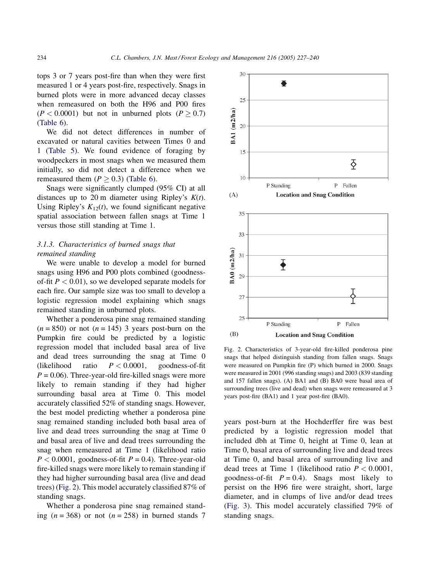tops 3 or 7 years post-fire than when they were first measured 1 or 4 years post-fire, respectively. Snags in burned plots were in more advanced decay classes when remeasured on both the H96 and P00 fires  $(P < 0.0001)$  but not in unburned plots  $(P > 0.7)$ ([Table 6](#page-6-0)).

We did not detect differences in number of excavated or natural cavities between Times 0 and 1 ([Table 5](#page-6-0)). We found evidence of foraging by woodpeckers in most snags when we measured them initially, so did not detect a difference when we remeasured them  $(P \ge 0.3)$  ([Table 6](#page-6-0)).

Snags were significantly clumped (95% CI) at all distances up to 20 m diameter using Ripley's  $K(t)$ . Using Ripley's  $K_{12}(t)$ , we found significant negative spatial association between fallen snags at Time 1 versus those still standing at Time 1.

## 3.1.3. Characteristics of burned snags that remained standing

We were unable to develop a model for burned snags using H96 and P00 plots combined (goodnessof-fit  $P < 0.01$ ), so we developed separate models for each fire. Our sample size was too small to develop a logistic regression model explaining which snags remained standing in unburned plots.

Whether a ponderosa pine snag remained standing  $(n = 850)$  or not  $(n = 145)$  3 years post-burn on the Pumpkin fire could be predicted by a logistic regression model that included basal area of live and dead trees surrounding the snag at Time 0 (likelihood ratio  $P < 0.0001$ , goodness-of-fit  $P = 0.06$ ). Three-year-old fire-killed snags were more likely to remain standing if they had higher surrounding basal area at Time 0. This model accurately classified 52% of standing snags. However, the best model predicting whether a ponderosa pine snag remained standing included both basal area of live and dead trees surrounding the snag at Time 0 and basal area of live and dead trees surrounding the snag when remeasured at Time 1 (likelihood ratio  $P < 0.0001$ , goodness-of-fit  $P = 0.4$ ). Three-year-old fire-killed snags were more likely to remain standing if they had higher surrounding basal area (live and dead trees) (Fig. 2). This model accurately classified 87% of standing snags.

Whether a ponderosa pine snag remained standing  $(n = 368)$  or not  $(n = 258)$  in burned stands 7



Fig. 2. Characteristics of 3-year-old fire-killed ponderosa pine snags that helped distinguish standing from fallen snags. Snags were measured on Pumpkin fire (P) which burned in 2000. Snags were measured in 2001 (996 standing snags) and 2003 (839 standing and 157 fallen snags). (A) BA1 and (B) BA0 were basal area of surrounding trees (live and dead) when snags were remeasured at 3 years post-fire (BA1) and 1 year post-fire (BA0).

years post-burn at the Hochderffer fire was best predicted by a logistic regression model that included dbh at Time 0, height at Time 0, lean at Time 0, basal area of surrounding live and dead trees at Time 0, and basal area of surrounding live and dead trees at Time 1 (likelihood ratio  $P < 0.0001$ , goodness-of-fit  $P = 0.4$ ). Snags most likely to persist on the H96 fire were straight, short, large diameter, and in clumps of live and/or dead trees ([Fig. 3](#page-8-0)). This model accurately classified 79% of standing snags.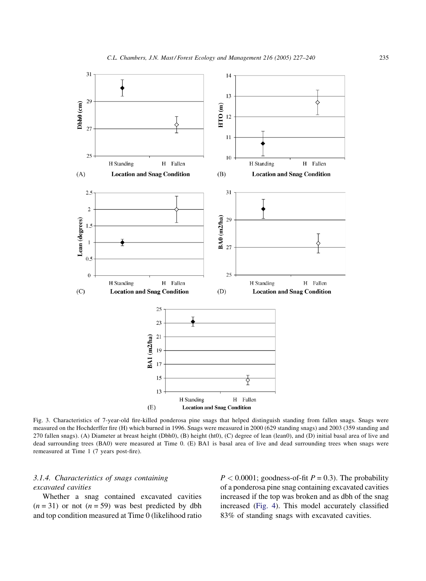<span id="page-8-0"></span>

Fig. 3. Characteristics of 7-year-old fire-killed ponderosa pine snags that helped distinguish standing from fallen snags. Snags were measured on the Hochderffer fire (H) which burned in 1996. Snags were measured in 2000 (629 standing snags) and 2003 (359 standing and 270 fallen snags). (A) Diameter at breast height (Dbh0), (B) height (ht0), (C) degree of lean (lean0), and (D) initial basal area of live and dead surrounding trees (BA0) were measured at Time 0. (E) BA1 is basal area of live and dead surrounding trees when snags were remeasured at Time 1 (7 years post-fire).

## 3.1.4. Characteristics of snags containing excavated cavities

Whether a snag contained excavated cavities  $(n = 31)$  or not  $(n = 59)$  was best predicted by dbh and top condition measured at Time 0 (likelihood ratio

 $P < 0.0001$ ; goodness-of-fit  $P = 0.3$ ). The probability of a ponderosa pine snag containing excavated cavities increased if the top was broken and as dbh of the snag increased [\(Fig. 4](#page-9-0)). This model accurately classified 83% of standing snags with excavated cavities.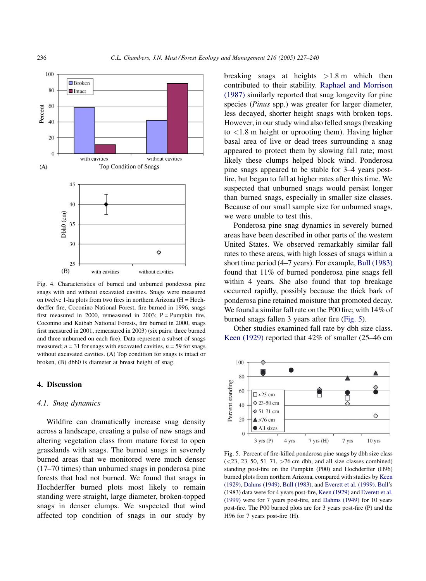<span id="page-9-0"></span>

Fig. 4. Characteristics of burned and unburned ponderosa pine snags with and without excavated cavities. Snags were measured on twelve 1-ha plots from two fires in northern Arizona  $(H = Hoch$ derffer fire, Coconino National Forest, fire burned in 1996, snags first measured in 2000, remeasured in 2003;  $P =$  Pumpkin fire, Coconino and Kaibab National Forests, fire burned in 2000, snags first measured in 2001, remeasured in 2003) (six pairs: three burned and three unburned on each fire). Data represent a subset of snags measured;  $n = 31$  for snags with excavated cavities,  $n = 59$  for snags without excavated cavities. (A) Top condition for snags is intact or broken, (B) dbh0 is diameter at breast height of snag.

#### 4. Discussion

#### 4.1. Snag dynamics

Wildfire can dramatically increase snag density across a landscape, creating a pulse of new snags and altering vegetation class from mature forest to open grasslands with snags. The burned snags in severely burned areas that we monitored were much denser (17–70 times) than unburned snags in ponderosa pine forests that had not burned. We found that snags in Hochderffer burned plots most likely to remain standing were straight, large diameter, broken-topped snags in denser clumps. We suspected that wind affected top condition of snags in our study by breaking snags at heights  $>1.8$  m which then contributed to their stability. [Raphael and Morrison](#page-12-0) [\(1987\)](#page-12-0) similarly reported that snag longevity for pine species (Pinus spp.) was greater for larger diameter, less decayed, shorter height snags with broken tops. However, in our study wind also felled snags (breaking to <1.8 m height or uprooting them). Having higher basal area of live or dead trees surrounding a snag appeared to protect them by slowing fall rate; most likely these clumps helped block wind. Ponderosa pine snags appeared to be stable for 3–4 years postfire, but began to fall at higher rates after this time. We suspected that unburned snags would persist longer than burned snags, especially in smaller size classes. Because of our small sample size for unburned snags, we were unable to test this.

Ponderosa pine snag dynamics in severely burned areas have been described in other parts of the western United States. We observed remarkably similar fall rates to these areas, with high losses of snags within a short time period (4–7 years). For example, [Bull \(1983\)](#page-11-0) found that 11% of burned ponderosa pine snags fell within 4 years. She also found that top breakage occurred rapidly, possibly because the thick bark of ponderosa pine retained moisture that promoted decay. We found a similar fall rate on the P00 fire; with 14% of burned snags fallen 3 years after fire (Fig. 5).

Other studies examined fall rate by dbh size class. [Keen \(1929\)](#page-12-0) reported that 42% of smaller (25–46 cm



Fig. 5. Percent of fire-killed ponderosa pine snags by dbh size class  $(<23, 23-50, 51-71, >76$  cm dbh, and all size classes combined) standing post-fire on the Pumpkin (P00) and Hochderffer (H96) burned plots from northern Arizona, compared with studies by [Keen](#page-12-0) [\(1929\),](#page-12-0) [Dahms \(1949\)](#page-12-0), [Bull \(1983\),](#page-11-0) and [Everett et al. \(1999\).](#page-12-0) [Bull](#page-11-0)'s (1983) data were for 4 years post-fire, [Keen \(1929\)](#page-12-0) and [Everett et al.](#page-12-0) [\(1999\)](#page-12-0) were for 7 years post-fire, and [Dahms \(1949\)](#page-12-0) for 10 years post-fire. The P00 burned plots are for 3 years post-fire (P) and the H96 for 7 years post-fire (H).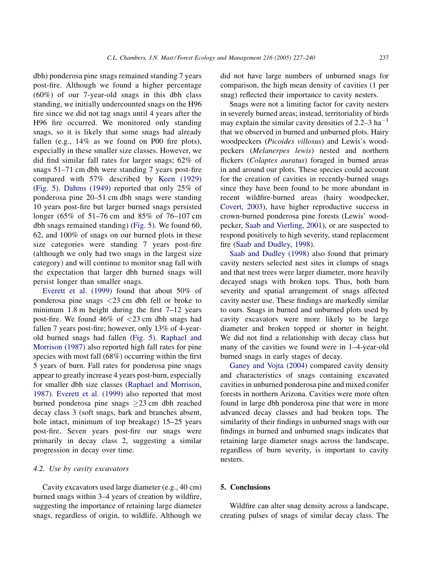dbh) ponderosa pine snags remained standing 7 years post-fire. Although we found a higher percentage (60%) of our 7-year-old snags in this dbh class standing, we initially undercounted snags on the H96 fire since we did not tag snags until 4 years after the H96 fire occurred. We monitored only standing snags, so it is likely that some snags had already fallen (e.g., 14% as we found on P00 fire plots), especially in these smaller size classes. However, we did find similar fall rates for larger snags; 62% of snags 51–71 cm dbh were standing 7 years post-fire compared with 57% described by [Keen \(1929\)](#page-12-0) ([Fig. 5](#page-9-0)). [Dahms \(1949\)](#page-12-0) reported that only 25% of ponderosa pine 20–51 cm dbh snags were standing 10 years post-fire but larger burned snags persisted longer (65% of 51–76 cm and 85% of 76–107 cm dbh snags remained standing) [\(Fig. 5](#page-9-0)). We found 60, 62, and 100% of snags on our burned plots in these size categories were standing 7 years post-fire (although we only had two snags in the largest size category) and will continue to monitor snag fall with the expectation that larger dbh burned snags will persist longer than smaller snags.

[Everett et al. \(1999\)](#page-12-0) found that about 50% of ponderosa pine snags <23 cm dbh fell or broke to minimum 1.8 m height during the first 7–12 years post-fire. We found 46% of <23 cm dbh snags had fallen 7 years post-fire; however, only 13% of 4-yearold burned snags had fallen ([Fig. 5](#page-9-0)). [Raphael and](#page-12-0) [Morrison \(1987\)](#page-12-0) also reported high fall rates for pine species with most fall (68%) occurring within the first 5 years of burn. Fall rates for ponderosa pine snags appear to greatly increase 4 years post-burn, especially for smaller dbh size classes ([Raphael and Morrison,](#page-12-0) [1987](#page-12-0)). [Everett et al. \(1999\)](#page-12-0) also reported that most burned ponderosa pine snags 23 cm dbh reached decay class 3 (soft snags, bark and branches absent, bole intact, minimum of top breakage) 15–25 years post-fire. Seven years post-fire our snags were primarily in decay class 2, suggesting a similar progression in decay over time.

## 4.2. Use by cavity excavators

Cavity excavators used large diameter (e.g., 40 cm) burned snags within 3–4 years of creation by wildfire, suggesting the importance of retaining large diameter snags, regardless of origin, to wildlife. Although we

did not have large numbers of unburned snags for comparison, the high mean density of cavities (1 per snag) reflected their importance to cavity nesters.

Snags were not a limiting factor for cavity nesters in severely burned areas; instead, territoriality of birds may explain the similar cavity densities of  $2.2-3$  ha<sup>-1</sup> that we observed in burned and unburned plots. Hairy woodpeckers (Picoides villosus) and Lewis's woodpeckers (Melanerpes lewis) nested and northern flickers (Colaptes auratus) foraged in burned areas in and around our plots. These species could account for the creation of cavities in recently-burned snags since they have been found to be more abundant in recent wildfire-burned areas (hairy woodpecker, [Covert, 2003\)](#page-11-0), have higher reproductive success in crown-burned ponderosa pine forests (Lewis' woodpecker, [Saab and Vierling, 2001\)](#page-12-0), or are suspected to respond positively to high severity, stand replacement fire ([Saab and Dudley, 1998\)](#page-12-0).

[Saab and Dudley \(1998\)](#page-12-0) also found that primary cavity nesters selected nest sites in clumps of snags and that nest trees were larger diameter, more heavily decayed snags with broken tops. Thus, both burn severity and spatial arrangement of snags affected cavity nester use. These findings are markedly similar to ours. Snags in burned and unburned plots used by cavity excavators were more likely to be large diameter and broken topped or shorter in height. We did not find a relationship with decay class but many of the cavities we found were in 1–4-year-old burned snags in early stages of decay.

[Ganey and Vojta \(2004\)](#page-12-0) compared cavity density and characteristics of snags containing excavated cavities in unburned ponderosa pine and mixed conifer forests in northern Arizona. Cavities were more often found in large dbh ponderosa pine that were in more advanced decay classes and had broken tops. The similarity of their findings in unburned snags with our findings in burned and unburned snags indicates that retaining large diameter snags across the landscape, regardless of burn severity, is important to cavity nesters.

## 5. Conclusions

Wildfire can alter snag density across a landscape, creating pulses of snags of similar decay class. The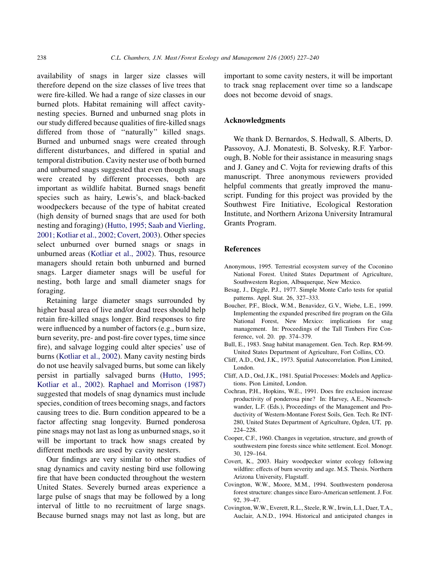<span id="page-11-0"></span>availability of snags in larger size classes will therefore depend on the size classes of live trees that were fire-killed. We had a range of size classes in our burned plots. Habitat remaining will affect cavitynesting species. Burned and unburned snag plots in our study differed because qualities of fire-killed snags differed from those of ''naturally'' killed snags. Burned and unburned snags were created through different disturbances, and differed in spatial and temporal distribution. Cavity nester use of both burned and unburned snags suggested that even though snags were created by different processes, both are important as wildlife habitat. Burned snags benefit species such as hairy, Lewis's, and black-backed woodpeckers because of the type of habitat created (high density of burned snags that are used for both nesting and foraging) [\(Hutto, 1995; Saab and Vierling,](#page-12-0) [2001; Kotliar et al., 2002; Covert, 2003](#page-12-0)). Other species select unburned over burned snags or snags in unburned areas ([Kotliar et al., 2002\)](#page-12-0). Thus, resource managers should retain both unburned and burned snags. Larger diameter snags will be useful for nesting, both large and small diameter snags for foraging.

Retaining large diameter snags surrounded by higher basal area of live and/or dead trees should help retain fire-killed snags longer. Bird responses to fire were influenced by a number of factors (e.g., burn size, burn severity, pre- and post-fire cover types, time since fire), and salvage logging could alter species' use of burns [\(Kotliar et al., 2002](#page-12-0)). Many cavity nesting birds do not use heavily salvaged burns, but some can likely persist in partially salvaged burns ([Hutto, 1995;](#page-12-0) [Kotliar et al., 2002](#page-12-0)). [Raphael and Morrison \(1987\)](#page-12-0) suggested that models of snag dynamics must include species, condition of trees becoming snags, and factors causing trees to die. Burn condition appeared to be a factor affecting snag longevity. Burned ponderosa pine snags may not last as long as unburned snags, so it will be important to track how snags created by different methods are used by cavity nesters.

Our findings are very similar to other studies of snag dynamics and cavity nesting bird use following fire that have been conducted throughout the western United States. Severely burned areas experience a large pulse of snags that may be followed by a long interval of little to no recruitment of large snags. Because burned snags may not last as long, but are

important to some cavity nesters, it will be important to track snag replacement over time so a landscape does not become devoid of snags.

## Acknowledgments

We thank D. Bernardos, S. Hedwall, S. Alberts, D. Passovoy, A.J. Monatesti, B. Solvesky, R.F. Yarborough, B. Noble for their assistance in measuring snags and J. Ganey and C. Vojta for reviewing drafts of this manuscript. Three anonymous reviewers provided helpful comments that greatly improved the manuscript. Funding for this project was provided by the Southwest Fire Initiative, Ecological Restoration Institute, and Northern Arizona University Intramural Grants Program.

#### References

- Anonymous, 1995. Terrestrial ecosystem survey of the Coconino National Forest. United States Department of Agriculture, Southwestern Region, Albuquerque, New Mexico.
- Besag, J., Diggle, P.J., 1977. Simple Monte Carlo tests for spatial patterns. Appl. Stat. 26, 327–333.
- Boucher, P.F., Block, W.M., Benavidez, G.V., Wiebe, L.E., 1999. Implementing the expanded prescribed fire program on the Gila National Forest, New Mexico: implications for snag management. In: Proceedings of the Tall Timbers Fire Conference, vol. 20. pp. 374–379.
- Bull, E., 1983. Snag habitat management. Gen. Tech. Rep. RM-99. United States Department of Agriculture, Fort Collins, CO.
- Cliff, A.D., Ord, J.K., 1973. Spatial Autocorrelation. Pion Limited, London.
- Cliff, A.D., Ord, J.K., 1981. Spatial Processes: Models and Applications. Pion Limited, London.
- Cochran, P.H., Hopkins, W.E., 1991. Does fire exclusion increase productivity of ponderosa pine? In: Harvey, A.E., Neuenschwander, L.F. (Eds.), Proceedings of the Management and Productivity of Western-Montane Forest Soils, Gen. Tech. Re INT-280, United States Department of Agriculture, Ogden, UT, pp. 224–228.
- Cooper, C.F., 1960. Changes in vegetation, structure, and growth of southwestern pine forests since white settlement. Ecol. Monogr. 30, 129–164.
- Covert, K., 2003. Hairy woodpecker winter ecology following wildfire: effects of burn severity and age. M.S. Thesis. Northern Arizona University, Flagstaff.
- Covington, W.W., Moore, M.M., 1994. Southwestern ponderosa forest structure: changes since Euro-American settlement. J. For. 92, 39–47.
- Covington, W.W., Everett, R.L., Steele, R.W., Irwin, L.I., Daer, T.A., Auclair, A.N.D., 1994. Historical and anticipated changes in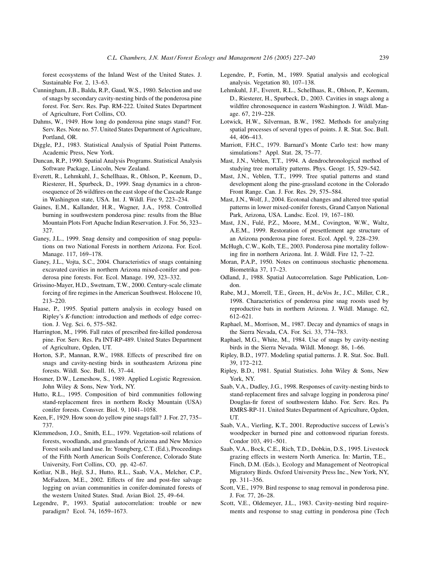<span id="page-12-0"></span>forest ecosystems of the Inland West of the United States. J. Sustainable For. 2, 13–63.

- Cunningham, J.B., Balda, R.P., Gaud, W.S., 1980. Selection and use of snags by secondary cavity-nesting birds of the ponderosa pine forest. For. Serv. Res. Pap. RM-222. United States Department of Agriculture, Fort Collins, CO.
- Dahms, W., 1949. How long do ponderosa pine snags stand? For. Serv. Res. Note no. 57. United States Department of Agriculture, Portland, OR.
- Diggle, P.J., 1983. Statistical Analysis of Spatial Point Patterns. Academic Press, New York.
- Duncan, R.P., 1990. Spatial Analysis Programs. Statistical Analysis Software Package, Lincoln, New Zealand.
- Everett, R., Lehmkuhl, J., Schellhaas, R., Ohlson, P., Keenum, D., Riesterer, H., Spurbeck, D., 1999. Snag dynamics in a chronosequence of 26 wildfires on the east slope of the Cascade Range in Washington state, USA. Int. J. Wildl. Fire 9, 223–234.
- Gaines, E.M., Kallander, H.R., Wagner, J.A., 1958. Controlled burning in southwestern ponderosa pine: results from the Blue Mountain Plots Fort Apache Indian Reservation. J. For. 56, 323– 327.
- Ganey, J.L., 1999. Snag density and composition of snag populations on two National Forests in northern Arizona. For. Ecol. Manage. 117, 169–178.
- Ganey, J.L., Vojta, S.C., 2004. Characteristics of snags containing excavated cavities in northern Arizona mixed-conifer and ponderosa pine forests. For. Ecol. Manage. 199, 323–332.
- Grissino-Mayer, H.D., Swetnam, T.W., 2000. Century-scale climate forcing of fire regimes in the American Southwest. Holocene 10, 213–220.
- Haase, P., 1995. Spatial pattern analysis in ecology based on Ripley's K-function: introduction and methods of edge correction. J. Veg. Sci. 6, 575–582.
- Harrington, M., 1996. Fall rates of prescribed fire-killed ponderosa pine. For. Serv. Res. Pa INT-RP-489. United States Department of Agriculture, Ogden, UT.
- Horton, S.P., Mannan, R.W., 1988. Effects of prescribed fire on snags and cavity-nesting birds in southeastern Arizona pine forests. Wildl. Soc. Bull. 16, 37–44.
- Hosmer, D.W., Lemeshow, S., 1989. Applied Logistic Regression. John Wiley & Sons, New York, NY.
- Hutto, R.L., 1995. Composition of bird communities following stand-replacement fires in northern Rocky Mountain (USA) conifer forests. Consver. Biol. 9, 1041–1058.
- Keen, F., 1929. How soon do yellow pine snags fall? J. For. 27, 735– 737.
- Klemmedson, J.O., Smith, E.L., 1979. Vegetation-soil relations of forests, woodlands, and grasslands of Arizona and New Mexico Forest soils and land use. In: Youngberg, C.T. (Ed.), Proceedings of the Fifth North American Soils Conference, Colorado State University, Fort Collins, CO, pp. 42–67.
- Kotliar, N.B., Hejl, S.J., Hutto, R.L., Saab, V.A., Melcher, C.P., McFadzen, M.E., 2002. Effects of fire and post-fire salvage logging on avian communities in conifer-dominated forests of the western United States. Stud. Avian Biol. 25, 49–64.
- Legendre, P., 1993. Spatial autocorrelation: trouble or new paradigm? Ecol. 74, 1659–1673.
- Legendre, P., Fortin, M., 1989. Spatial analysis and ecological analysis. Vegetation 80, 107–138.
- Lehmkuhl, J.F., Everett, R.L., Schellhaas, R., Ohlson, P., Keenum, D., Riesterer, H., Spurbeck, D., 2003. Cavities in snags along a wildfire chronosequence in eastern Washington. J. Wildl. Manage. 67, 219–228.
- Lotwick, H.W., Silverman, B.W., 1982. Methods for analyzing spatial processes of several types of points. J. R. Stat. Soc. Bull. 44, 406–413.
- Marriott, F.H.C., 1979. Barnard's Monte Carlo test: how many simulations? Appl. Stat. 28, 75–77.
- Mast, J.N., Veblen, T.T., 1994. A dendrochronological method of studying tree mortality patterns. Phys. Geogr. 15, 529–542.
- Mast, J.N., Veblen, T.T., 1999. Tree spatial patterns and stand development along the pine-grassland ecotone in the Colorado Front Range. Can. J. For. Res. 29, 575–584.
- Mast, J.N., Wolf, J., 2004. Ecotonal changes and altered tree spatial patterns in lower mixed-conifer forests, Grand Canyon National Park, Arizona, USA. Landsc. Ecol. 19, 167–180.
- Mast, J.N., Fulé, P.Z., Moore, M.M., Covington, W.W., Waltz, A.E.M., 1999. Restoration of presettlement age structure of an Arizona ponderosa pine forest. Ecol. Appl. 9, 228–239.
- McHugh, C.W., Kolb, T.E., 2003. Ponderosa pine mortality following fire in northern Arizona. Int. J. Wildl. Fire 12, 7–22.
- Moran, P.A.P., 1950. Notes on continuous stochastic phenomena. Biometrika 37, 17–23.
- Odland, J., 1988. Spatial Autocorrelation. Sage Publication, London.
- Rabe, M.J., Morrell, T.E., Green, H., deVos Jr., J.C., Miller, C.R., 1998. Characteristics of ponderosa pine snag roosts used by reproductive bats in northern Arizona. J. Wildl. Manage. 62, 612–621.
- Raphael, M., Morrison, M., 1987. Decay and dynamics of snags in the Sierra Nevada, CA. For. Sci. 33, 774–783.
- Raphael, M.G., White, M., 1984. Use of snags by cavity-nesting birds in the Sierra Nevada. Wildl. Monogr. 86, 1–66.
- Ripley, B.D., 1977. Modeling spatial patterns. J. R. Stat. Soc. Bull. 39, 172–212.
- Ripley, B.D., 1981. Spatial Statistics. John Wiley & Sons, New York, NY.
- Saab, V.A., Dudley, J.G., 1998. Responses of cavity-nesting birds to stand-replacement fires and salvage logging in ponderosa pine/ Douglas-fir forest of southwestern Idaho. For. Serv. Res. Pa RMRS-RP-11. United States Department of Agriculture, Ogden, **ITT**
- Saab, V.A., Vierling, K.T., 2001. Reproductive success of Lewis's woodpecker in burned pine and cottonwood riparian forests. Condor 103, 491–501.
- Saab, V.A., Bock, C.E., Rich, T.D., Dobkin, D.S., 1995. Livestock grazing effects in western North America. In: Martin, T.E., Finch, D.M. (Eds.), Ecology and Management of Neotropical Migratory Birds. Oxford University Press Inc., New York, NY, pp. 311–356.
- Scott, V.E., 1979. Bird response to snag removal in ponderosa pine. J. For. 77, 26–28.
- Scott, V.E., Oldemeyer, J.L., 1983. Cavity-nesting bird requirements and response to snag cutting in ponderosa pine (Tech